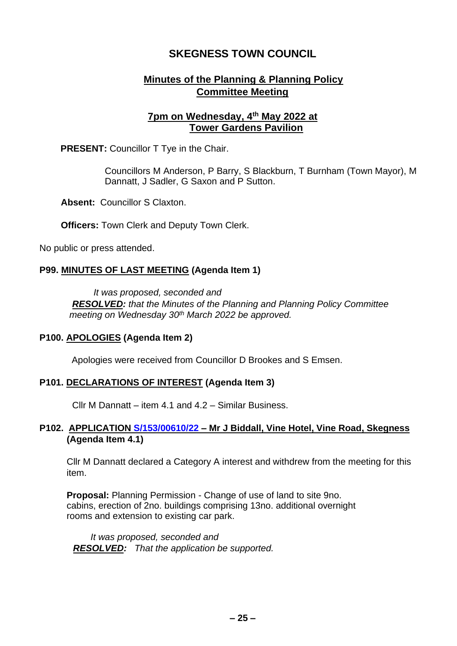# **SKEGNESS TOWN COUNCIL**

# **Minutes of the Planning & Planning Policy Committee Meeting**

# **7pm on Wednesday, 4 th May 2022 at Tower Gardens Pavilion**

**PRESENT:** Councillor T Tye in the Chair.

Councillors M Anderson, P Barry, S Blackburn, T Burnham (Town Mayor), M Dannatt, J Sadler, G Saxon and P Sutton.

**Absent:** Councillor S Claxton.

**Officers:** Town Clerk and Deputy Town Clerk.

No public or press attended.

#### **P99. MINUTES OF LAST MEETING (Agenda Item 1)**

*It was proposed, seconded and RESOLVED: that the Minutes of the Planning and Planning Policy Committee meeting on Wednesday 30th March 2022 be approved.* 

#### **P100. APOLOGIES (Agenda Item 2)**

Apologies were received from Councillor D Brookes and S Emsen.

#### **P101. DECLARATIONS OF INTEREST (Agenda Item 3)**

Cllr M Dannatt – item 4.1 and 4.2 – Similar Business.

#### **P102. APPLICATION [S/153/00610/22](https://publicaccess.e-lindsey.gov.uk/online-applications/applicationDetails.do?activeTab=details&keyVal=_EASTL_DCAPR_135572&prevPage=inTray) – Mr J Biddall, Vine Hotel, Vine Road, Skegness (Agenda Item 4.1)**

Cllr M Dannatt declared a Category A interest and withdrew from the meeting for this item.

**Proposal:** Planning Permission - Change of use of land to site 9no. cabins, erection of 2no. buildings comprising 13no. additional overnight rooms and extension to existing car park.

*It was proposed, seconded and RESOLVED: That the application be supported.*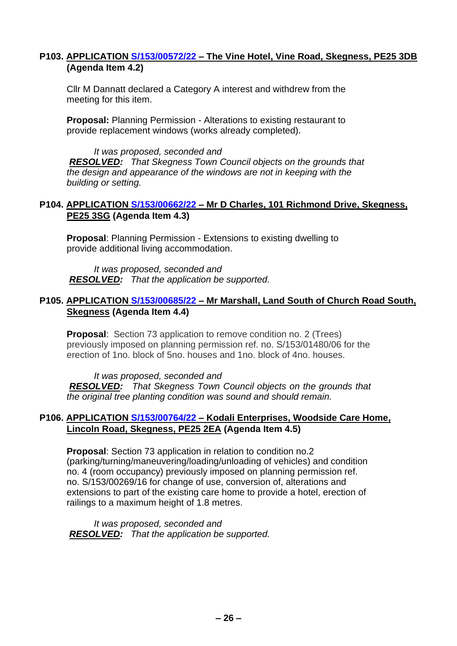### **P103. APPLICATION [S/153/00572/22](https://publicaccess.e-lindsey.gov.uk/online-applications/applicationDetails.do?activeTab=summary&keyVal=_EASTL_DCAPR_135534&prevPage=inTray) – The Vine Hotel, Vine Road, Skegness, PE25 3DB (Agenda Item 4.2)**

Cllr M Dannatt declared a Category A interest and withdrew from the meeting for this item.

**Proposal:** Planning Permission - Alterations to existing restaurant to provide replacement windows (works already completed).

*It was proposed, seconded and RESOLVED: That Skegness Town Council objects on the grounds that the design and appearance of the windows are not in keeping with the building or setting.*

#### **P104. APPLICATION [S/153/00662/22](https://publicaccess.e-lindsey.gov.uk/online-applications/applicationDetails.do?activeTab=details&keyVal=_EASTL_DCAPR_135624&prevPage=inTray) – Mr D Charles, 101 Richmond Drive, Skegness, PE25 3SG (Agenda Item 4.3)**

**Proposal**: Planning Permission - Extensions to existing dwelling to provide additional living accommodation.

*It was proposed, seconded and RESOLVED: That the application be supported.*

### **P105. APPLICATION [S/153/00685/22](https://publicaccess.e-lindsey.gov.uk/online-applications/applicationDetails.do?activeTab=summary&keyVal=_EASTL_DCAPR_135647&prevPage=inTray) – Mr Marshall, Land South of Church Road South, Skegness (Agenda Item 4.4)**

**Proposal:** Section 73 application to remove condition no. 2 (Trees) previously imposed on planning permission ref. no. S/153/01480/06 for the erection of 1no. block of 5no. houses and 1no. block of 4no. houses.

*It was proposed, seconded and* 

*RESOLVED: That Skegness Town Council objects on the grounds that the original tree planting condition was sound and should remain.*

#### **P106. APPLICATION [S/153/00764/22](https://publicaccess.e-lindsey.gov.uk/online-applications/applicationDetails.do?activeTab=details&keyVal=_EASTL_DCAPR_135726&prevPage=inTray) – Kodali Enterprises, Woodside Care Home, Lincoln Road, Skegness, PE25 2EA (Agenda Item 4.5)**

**Proposal**: Section 73 application in relation to condition no.2 (parking/turning/maneuvering/loading/unloading of vehicles) and condition no. 4 (room occupancy) previously imposed on planning permission ref. no. S/153/00269/16 for change of use, conversion of, alterations and extensions to part of the existing care home to provide a hotel, erection of railings to a maximum height of 1.8 metres.

*It was proposed, seconded and RESOLVED: That the application be supported.*